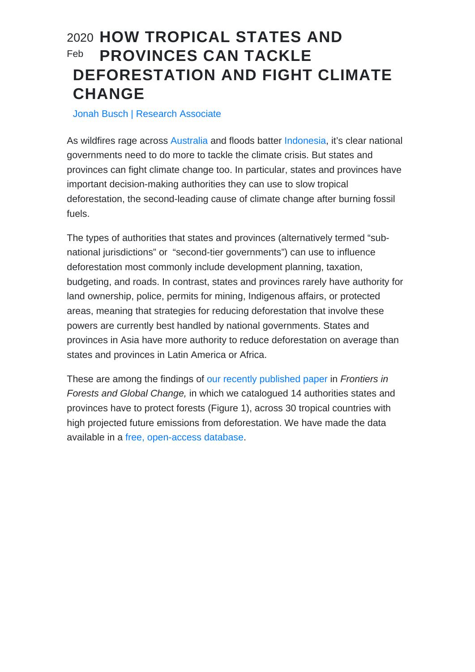## 2020 HOW TROPICAL STATES AND PROVINCES CAN TACKLE DEFORESTATION AND FIGHT CLIMATE **CHANGE** Feb

Jonah Busch | Research Associate

As wildfires rage across [Australia](https://www.cnn.com/2020/01/01/australia/australia-fires-explainer-intl-hnk-scli/index.html) and floods batter [Indonesia,](https://time.com/5761097/jakarta-indonesia-floods/) it's clear national governments need to do more to tackle the climate crisis. But states and provinces can fight climate change too. In particular, states and provinces have important decision-making authorities they can use to slow tropical deforestation, the second-leading cause of climate change after burning fossil fuels.

The types of authorities that states and provinces (alternatively termed "subnational jurisdictions" or "second-tier governments") can use to influence deforestation most commonly include development planning, taxation, budgeting, and roads. In contrast, states and provinces rarely have authority for land ownership, police, permits for mining, Indigenous affairs, or protected areas, meaning that strategies for reducing deforestation that involve these powers are currently best handled by national governments. States and provinces in Asia have more authority to reduce deforestation on average than states and provinces in Latin America or Africa.

These are among the findings of [our recently published paper](https://www.frontiersin.org/articles/10.3389/ffgc.2020.00001/full) in Frontiers in Forests and Global Change, in which we catalogued 14 authorities states and provinces have to protect forests (Figure 1), across 30 tropical countries with high projected future emissions from deforestation. We have made the data available in a [free, open-access database](http://localhost/eiisite/resources/browse/jurisdictional-authority-deforestation-database/).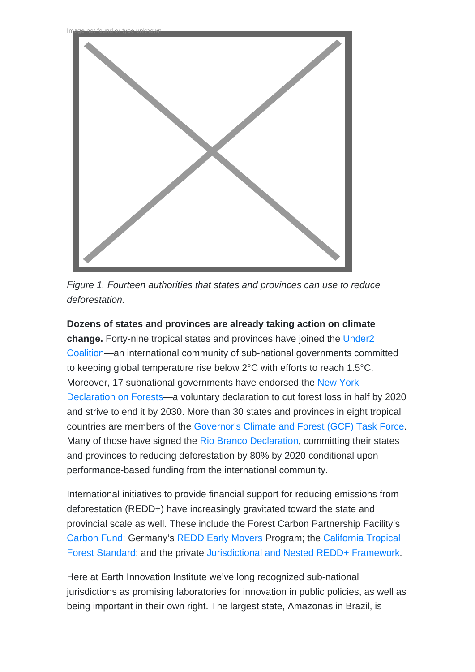



Dozens of states and provinces are already taking action on climate change. Forty-nine tropical states and provinces have joined the [Under2](https://www.under2coalition.org/) [Coalition—](https://www.under2coalition.org/)an international community of sub-national governments committed to keeping global temperature rise below 2°C with efforts to reach 1.5°C. Moreover, 17 subnational governments have endorsed the [New York](https://forestdeclaration.org/) [Declaration on Forests—](https://forestdeclaration.org/)a voluntary declaration to cut forest loss in half by 2020 and strive to end it by 2030. More than 30 states and provinces in eight tropical countries are members of the [Governor's Climate and Forest \(GCF\) Task Force.](https://www.gcftf.org/) Many of those have signed the [Rio Branco Declaration](https://www.gcftf.org/post/rio-branco-declaration), committing their states and provinces to reducing deforestation by 80% by 2020 conditional upon performance-based funding from the international community.

International initiatives to provide financial support for reducing emissions from deforestation (REDD+) have increasingly gravitated toward the state and provincial scale as well. These include the Forest Carbon Partnership Facility's [Carbon Fund;](https://www.forestcarbonpartnership.org/carbon-fund) Germany's [REDD Early Movers](https://www.kfw-entwicklungsbank.de/International-financing/KfW-Development-Bank/Topics/Climate/REDD/) Program; the [California Tropical](/Blog/14230) [Forest Standard;](/Blog/14230) and the private [Jurisdictional and Nested REDD+ Framework](https://verra.org/project/jurisdictional-and-nested-redd-framework/).

Here at Earth Innovation Institute we've long recognized sub-national jurisdictions as promising laboratories for innovation in public policies, as well as being important in their own right. The largest state, Amazonas in Brazil, is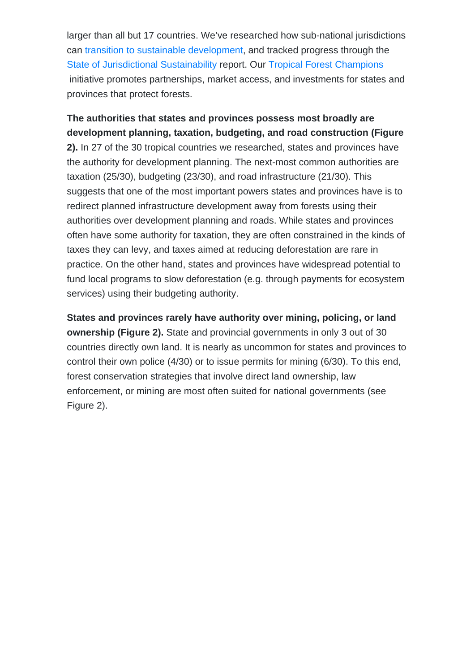larger than all but 17 countries. We've researched how sub-national jurisdictions can [transition to sustainable development,](/uploads/2017/02/JS-primer_Englishonline.pdf) and tracked progress through the [State of Jurisdictional Sustainability](http://localhost/eiisite/state-of-jurisdictional-sustainability/#sjsreport) report. Our [Tropical Forest Champions](http://localhost/eiisite/publications/tropical-forest-champions/) initiative promotes partnerships, market access, and investments for states and provinces that protect forests.

The authorities that states and provinces possess most broadly are development planning, taxation, budgeting, and road construction (Figure 2). In 27 of the 30 tropical countries we researched, states and provinces have the authority for development planning. The next-most common authorities are taxation (25/30), budgeting (23/30), and road infrastructure (21/30). This suggests that one of the most important powers states and provinces have is to redirect planned infrastructure development away from forests using their authorities over development planning and roads. While states and provinces often have some authority for taxation, they are often constrained in the kinds of taxes they can levy, and taxes aimed at reducing deforestation are rare in practice. On the other hand, states and provinces have widespread potential to fund local programs to slow deforestation (e.g. through payments for ecosystem services) using their budgeting authority.

States and provinces rarely have authority over mining, policing, or land ownership (Figure 2). State and provincial governments in only 3 out of 30 countries directly own land. It is nearly as uncommon for states and provinces to control their own police (4/30) or to issue permits for mining (6/30). To this end, forest conservation strategies that involve direct land ownership, law enforcement, or mining are most often suited for national governments (see Figure 2).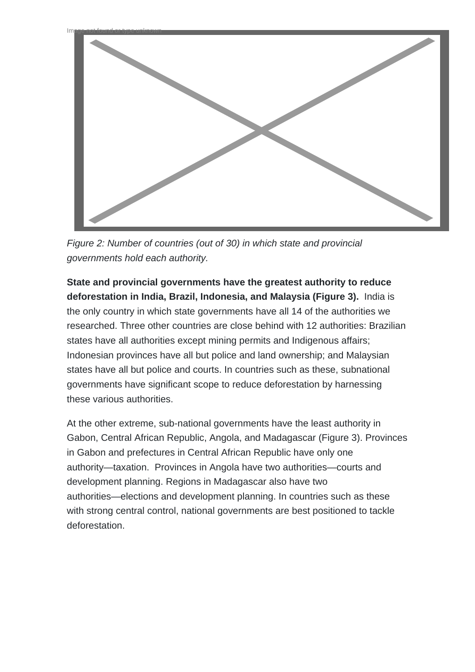

Figure 2: Number of countries (out of 30) in which state and provincial governments hold each authority.

**State and provincial governments have the greatest authority to reduce deforestation in India, Brazil, Indonesia, and Malaysia (Figure 3).** India is the only country in which state governments have all 14 of the authorities we researched. Three other countries are close behind with 12 authorities: Brazilian states have all authorities except mining permits and Indigenous affairs; Indonesian provinces have all but police and land ownership; and Malaysian states have all but police and courts. In countries such as these, subnational governments have significant scope to reduce deforestation by harnessing these various authorities.

At the other extreme, sub-national governments have the least authority in Gabon, Central African Republic, Angola, and Madagascar (Figure 3). Provinces in Gabon and prefectures in Central African Republic have only one authority—taxation. Provinces in Angola have two authorities—courts and development planning. Regions in Madagascar also have two authorities—elections and development planning. In countries such as these with strong central control, national governments are best positioned to tackle deforestation.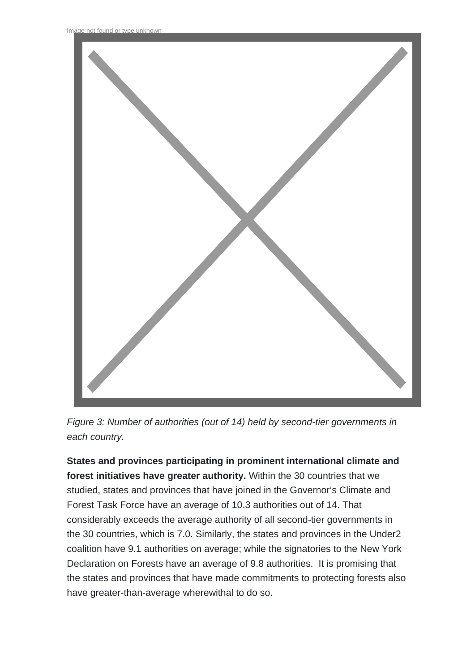

Figure 3: Number of authorities (out of 14) held by second-tier governments in each country.

**States and provinces participating in prominent international climate and forest initiatives have greater authority.** Within the 30 countries that we studied, states and provinces that have joined in the Governor's Climate and Forest Task Force have an average of 10.3 authorities out of 14. That considerably exceeds the average authority of all second-tier governments in the 30 countries, which is 7.0. Similarly, the states and provinces in the Under2 coalition have 9.1 authorities on average; while the signatories to the New York Declaration on Forests have an average of 9.8 authorities. It is promising that the states and provinces that have made commitments to protecting forests also have greater-than-average wherewithal to do so.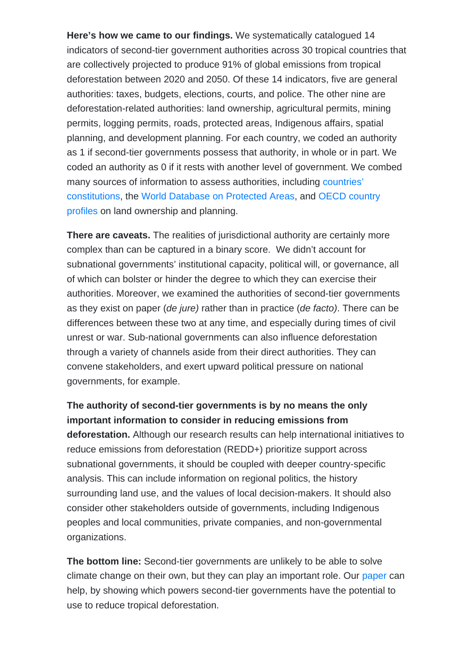Here's how we came to our findings. We systematically catalogued 14 indicators of second-tier government authorities across 30 tropical countries that are collectively projected to produce 91% of global emissions from tropical deforestation between 2020 and 2050. Of these 14 indicators, five are general authorities: taxes, budgets, elections, courts, and police. The other nine are deforestation-related authorities: land ownership, agricultural permits, mining permits, logging permits, roads, protected areas, Indigenous affairs, spatial planning, and development planning. For each country, we coded an authority as 1 if second-tier governments possess that authority, in whole or in part. We coded an authority as 0 if it rests with another level of government. We combed many sources of information to assess authorities, including [countries'](https://www.constituteproject.org/) [constitutions,](https://www.constituteproject.org/) the [World Database on Protected Areas](https://www.unep-wcmc.org/resources-and-data/wdpa), and [OECD country](https://www.oecd.org/regional/regional-policy/sngs-around-the-world.htm) [profiles](https://www.oecd.org/regional/regional-policy/sngs-around-the-world.htm) on land ownership and planning.

There are caveats. The realities of jurisdictional authority are certainly more complex than can be captured in a binary score. We didn't account for subnational governments' institutional capacity, political will, or governance, all of which can bolster or hinder the degree to which they can exercise their authorities. Moreover, we examined the authorities of second-tier governments as they exist on paper (de jure) rather than in practice (de facto). There can be differences between these two at any time, and especially during times of civil unrest or war. Sub-national governments can also influence deforestation through a variety of channels aside from their direct authorities. They can convene stakeholders, and exert upward political pressure on national governments, for example.

The authority of second-tier governments is by no means the only important information to consider in reducing emissions from deforestation. Although our research results can help international initiatives to reduce emissions from deforestation (REDD+) prioritize support across subnational governments, it should be coupled with deeper country-specific analysis. This can include information on regional politics, the history surrounding land use, and the values of local decision-makers. It should also consider other stakeholders outside of governments, including Indigenous peoples and local communities, private companies, and non-governmental organizations.

The bottom line: Second-tier governments are unlikely to be able to solve climate change on their own, but they can play an important role. Our [paper](https://www.frontiersin.org/articles/10.3389/ffgc.2020.00001/full?&utm_source=Email_to_authors_&utm_medium=Email&utm_content=T1_11.5e1_author&utm_campaign=Email_publication&field=&journalName=Frontiers_in_Forests_and_Global_Change&id=495130) can help, by showing which powers second-tier governments have the potential to use to reduce tropical deforestation.